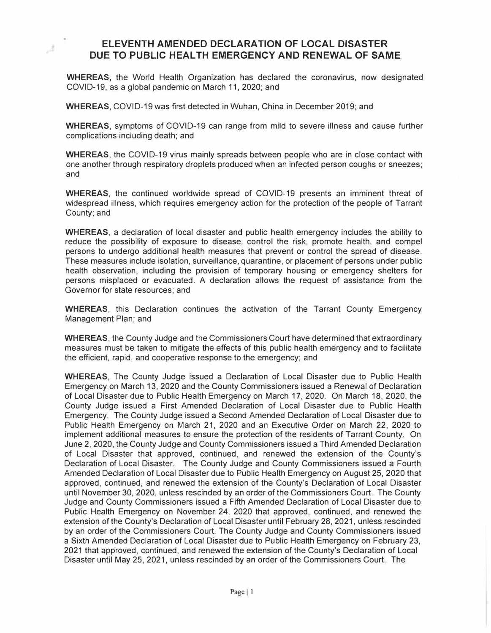## **ELEVENTH AMENDED DECLARATION OF LOCAL DISASTER DUE TO PUBLIC HEAL TH EMERGENCY AND RENEWAL OF SAME**

**WHEREAS,** the World Health Organization has declared the coronavirus, now designated COVID-19, as a global pandemic on March 11, 2020; and

**WHEREAS,** COVID-19 was first detected in Wuhan, China in December 2019; and

Á

**WHEREAS,** symptoms of COVID-19 can range from mild to severe illness and cause further complications including death; and

**WHEREAS,** the COVID-19 virus mainly spreads between people who are in close contact with one another through respiratory droplets produced when an infected person coughs or sneezes; and

**WHEREAS,** the continued worldwide spread of COVID-19 presents an imminent threat of widespread illness, which requires emergency action for the protection of the people of Tarrant County; and

**WHEREAS,** a declaration of local disaster and public health emergency includes the ability to reduce the possibility of exposure to disease, control the risk, promote health, and compel persons to undergo additional health measures that prevent or control the spread of disease. These measures include isolation, surveillance, quarantine, or placement of persons under public health observation, including the provision of temporary housing or emergency shelters for persons misplaced or evacuated. A declaration allows the request of assistance from the Governor for state resources; and

**WHEREAS,** this Declaration continues the activation of the Tarrant County Emergency Management Plan; and

**WHEREAS,** the County Judge and the Commissioners Court have determined that extraordinary measures must be taken to mitigate the effects of this public health emergency and to facilitate the efficient, rapid, and cooperative response to the emergency; and

**WHEREAS,** The County Judge issued a Declaration of Local Disaster due to Public Health Emergency on March 13, 2020 and the County Commissioners issued a Renewal of Declaration of Local Disaster due to Public Health Emergency on March 17, 2020. On March 18, 2020, the County Judge issued a First Amended Declaration of Local Disaster due to Public Health Emergency. The County Judge issued a Second Amended Declaration of Local Disaster due to Public Health Emergency on March 21, 2020 and an Executive Order on March 22, 2020 to implement additional measures to ensure the protection of the residents of Tarrant County. On June 2, 2020, the County Judge and County Commissioners issued a Third Amended Declaration of Local Disaster that approved, continued, and renewed the extension of the County's Declaration of Local Disaster. The County Judge and County Commissioners issued a Fourth Amended Declaration of Local Disaster due to Public Health Emergency on August 25, 2020 that approved, continued, and renewed the extension of the County's Declaration of Local Disaster until November 30, 2020, unless rescinded by an order of the Commissioners Court. The County Judge and County Commissioners issued a Fifth Amended Declaration of Local Disaster due to Public Health Emergency on November 24, 2020 that approved, continued, and renewed the extension of the County's Declaration of Local Disaster until February 28, 2021, unless rescinded by an order of the Commissioners Court. The County Judge and County Commissioners issued a Sixth Amended Declaration of Local Disaster due to Public Health Emergency on February 23, 2021 that approved, continued, and renewed the extension of the County's Declaration of Local Disaster until May 25, 2021, unless rescinded by an order of the Commissioners Court. The